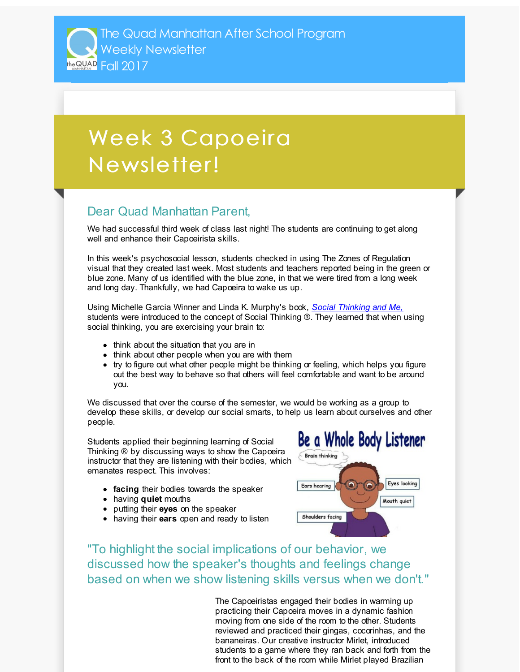The Quad Manhattan After School Program Weekly Newsletter TABLE 2017

## Week 3 Capoeira Newsletter!

## Dear Quad Manhattan Parent,

We had successful third week of class last night! The students are continuing to get along well and enhance their Capoeirista skills.

In this week's psychosocial lesson, students checked in using The Zones of Regulation visual that they created last week. Most students and teachers reported being in the green or blue zone. Many of us identified with the blue zone, in that we were tired from a long week and long day. Thankfully, we had Capoeira to wake us up.

Using Michelle Garcia Winner and Linda K. Murphy's book, *Social [Thinking](http://r20.rs6.net/tn.jsp?f=001GZpr0ILXwBDY853wJ8xZu0dY-GUm87TmEa-2EAZTjVo9fNbPvEvrzLixESVD63Q9n0vhvXSVtNdYgp-2RqKz60qqPiULNOrVIiDQ2bbtKIaBPyvNHfmOOXPXwIVvNWsAudIEx1ySskQYRoQ5h5W4aFqceXeOqSfFStx_rHzPp_WOBVYMfR_zOs95zzYAymSbFqfiVj277mKX_0uicfNTRocBxLahLdAI6Ie378vS4CAEvWAX4YY5wg==&c=&ch=) and Me,* students were introduced to the concept of Social Thinking ®. They learned that when using social thinking, you are exercising your brain to:

- think about the situation that you are in
- think about other people when you are with them
- try to figure out what other people might be thinking or feeling, which helps you figure out the best way to behave so that others will feel comfortable and want to be around you.

We discussed that over the course of the semester, we would be working as a group to develop these skills, or develop our social smarts, to help us learn about ourselves and other people.

Students applied their beginning learning of Social Thinking ® by discussing ways to show the Capoeira instructor that they are listening with their bodies, which emanates respect. This involves:

- **facing** their bodies towards the speaker
- having **quiet** mouths
- putting their **eyes** on the speaker
- having their **ears** open and ready to listen



"To highlight the social implications of our behavior, we discussed how the speaker's thoughts and feelings change based on when we show listening skills versus when we don't."

> The Capoeiristas engaged their bodies in warming up practicing their Capoeira moves in a dynamic fashion moving from one side of the room to the other. Students reviewed and practiced their gingas, cocorinhas, and the bananeiras. Our creative instructor Mirlet, introduced students to a game where they ran back and forth from the front to the back of the room while Mirlet played Brazilian